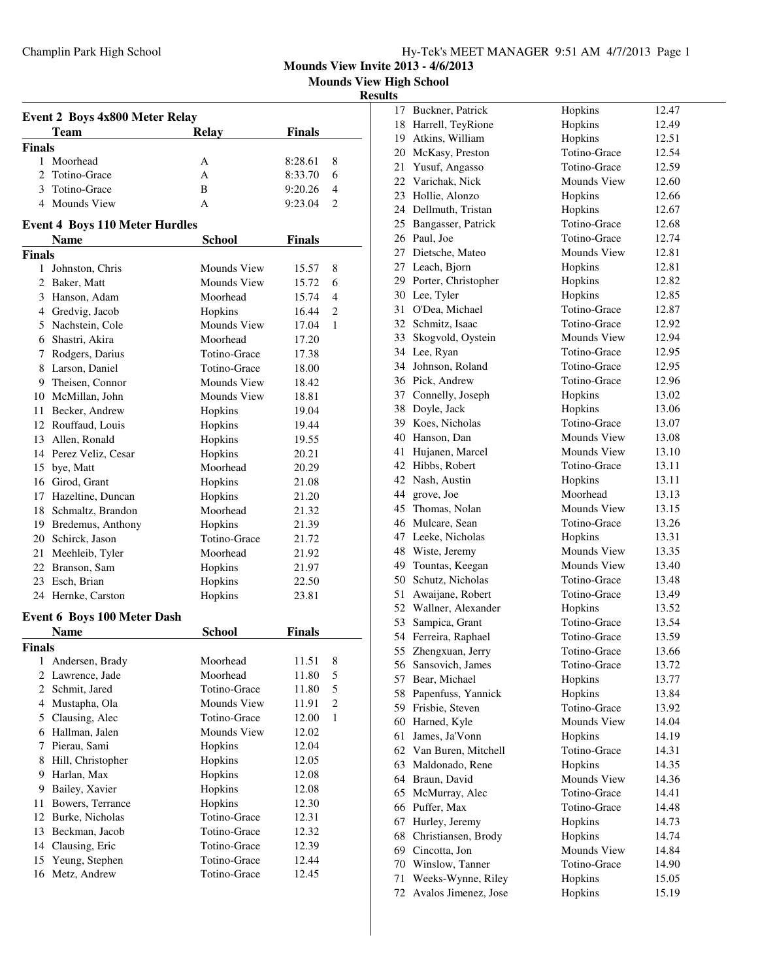|  | Hy-Tek's MEET MANAGER 9:51 AM 4/7/2013 Page 1 |  |  |
|--|-----------------------------------------------|--|--|
|  |                                               |  |  |

**Mounds View Invite 2013 - 4/6/2013**

**Mounds View High School**

# **Results**<br>17

| <b>Event 2 Boys 4x800 Meter Relay</b> |                                       |                    |               |                |  |  |
|---------------------------------------|---------------------------------------|--------------------|---------------|----------------|--|--|
| <b>Relay</b><br><b>Finals</b><br>Team |                                       |                    |               |                |  |  |
| <b>Finals</b>                         |                                       |                    |               |                |  |  |
| 1                                     | Moorhead                              | А                  | 8:28.61       | 8              |  |  |
| $\mathfrak{D}$                        | Totino-Grace                          | A                  | 8:33.70       | 6              |  |  |
|                                       | 3 Totino-Grace                        | B                  | 9:20.26       | 4              |  |  |
|                                       | 4 Mounds View                         | A                  | 9:23.04       | $\overline{c}$ |  |  |
|                                       | <b>Event 4 Boys 110 Meter Hurdles</b> |                    |               |                |  |  |
|                                       | Name                                  | <b>School</b>      | <b>Finals</b> |                |  |  |
| <b>Finals</b>                         |                                       |                    |               |                |  |  |
| $\mathbf{1}$                          | Johnston, Chris                       | Mounds View        | 15.57         | 8              |  |  |
|                                       | 2 Baker, Matt                         | <b>Mounds View</b> | 15.72         | 6              |  |  |
|                                       | 3 Hanson, Adam                        | Moorhead           | 15.74         | 4              |  |  |
|                                       | 4 Gredvig, Jacob                      | Hopkins            | 16.44         | 2              |  |  |
|                                       | 5 Nachstein, Cole                     | Mounds View        | 17.04         | 1              |  |  |
|                                       | 6 Shastri, Akira                      | Moorhead           | 17.20         |                |  |  |
|                                       | 7 Rodgers, Darius                     | Totino-Grace       | 17.38         |                |  |  |
|                                       | 8 Larson, Daniel                      | Totino-Grace       | 18.00         |                |  |  |
|                                       | 9 Theisen, Connor                     | Mounds View        | 18.42         |                |  |  |
|                                       | 10 McMillan, John                     | Mounds View        | 18.81         |                |  |  |
|                                       | 11 Becker, Andrew                     | Hopkins            | 19.04         |                |  |  |
|                                       | 12 Rouffaud, Louis                    | Hopkins            | 19.44         |                |  |  |
|                                       | 13 Allen, Ronald                      | Hopkins            | 19.55         |                |  |  |
|                                       | 14 Perez Veliz, Cesar                 | Hopkins            | 20.21         |                |  |  |
|                                       | 15 bye, Matt                          | Moorhead           | 20.29         |                |  |  |
|                                       | 16 Girod, Grant                       | Hopkins            | 21.08         |                |  |  |
|                                       | 17 Hazeltine, Duncan                  | Hopkins            | 21.20         |                |  |  |
|                                       | 18 Schmaltz, Brandon                  | Moorhead           | 21.32         |                |  |  |
|                                       | 19 Bredemus, Anthony                  | Hopkins            | 21.39         |                |  |  |
|                                       | 20 Schirck, Jason                     | Totino-Grace       | 21.72         |                |  |  |
|                                       | 21 Meehleib, Tyler                    | Moorhead           | 21.92         |                |  |  |
|                                       | 22 Branson, Sam                       | Hopkins            | 21.97         |                |  |  |
|                                       | 23 Esch, Brian                        | Hopkins            | 22.50         |                |  |  |
|                                       | 24 Hernke, Carston                    | Hopkins            | 23.81         |                |  |  |
|                                       | <b>Event 6 Boys 100 Meter Dash</b>    |                    |               |                |  |  |
|                                       | <b>Name</b>                           | <b>School</b>      | <b>Finals</b> |                |  |  |
| <b>Finals</b>                         |                                       |                    |               |                |  |  |
| 1                                     | Andersen, Brady                       | Moorhead           | 11.51         | 8              |  |  |
| 2                                     | Lawrence, Jade                        | Moorhead           | 11.80         | 5              |  |  |
| $\overline{2}$                        | Schmit, Jared                         | Totino-Grace       | 11.80         | 5              |  |  |
| 4                                     | Mustapha, Ola                         | Mounds View        | 11.91         | $\overline{c}$ |  |  |
| 5                                     | Clausing, Alec                        | Totino-Grace       | 12.00         | 1              |  |  |
|                                       | 6 Hallman, Jalen                      | Mounds View        | 12.02         |                |  |  |
| 7                                     | Pierau, Sami                          | Hopkins            | 12.04         |                |  |  |
| 8                                     | Hill, Christopher                     | Hopkins            | 12.05         |                |  |  |
|                                       | 9 Harlan, Max                         | Hopkins            | 12.08         |                |  |  |
| 9                                     | Bailey, Xavier                        | Hopkins            | 12.08         |                |  |  |
| 11                                    | Bowers, Terrance                      | Hopkins            | 12.30         |                |  |  |
| 12                                    | Burke, Nicholas                       | Totino-Grace       | 12.31         |                |  |  |
| 13                                    | Beckman, Jacob                        | Totino-Grace       | 12.32         |                |  |  |
| 14                                    | Clausing, Eric                        | Totino-Grace       | 12.39         |                |  |  |
| 15                                    | Yeung, Stephen                        | Totino-Grace       | 12.44         |                |  |  |
| 16                                    | Metz, Andrew                          | Totino-Grace       | 12.45         |                |  |  |

| 17  | Buckner, Patrick     | Hopkins      | 12.47 |
|-----|----------------------|--------------|-------|
| 18  | Harrell, TeyRione    | Hopkins      | 12.49 |
| 19  | Atkins, William      | Hopkins      | 12.51 |
| 20  | McKasy, Preston      | Totino-Grace | 12.54 |
| 21  | Yusuf, Angasso       | Totino-Grace | 12.59 |
| 22. | Varichak, Nick       | Mounds View  | 12.60 |
| 23  | Hollie, Alonzo       | Hopkins      | 12.66 |
| 24  | Dellmuth, Tristan    | Hopkins      | 12.67 |
| 25  | Bangasser, Patrick   | Totino-Grace | 12.68 |
| 26  | Paul. Joe            | Totino-Grace | 12.74 |
| 27  | Dietsche, Mateo      | Mounds View  | 12.81 |
| 27  | Leach, Bjorn         | Hopkins      | 12.81 |
| 29  | Porter, Christopher  | Hopkins      | 12.82 |
| 30  | Lee, Tyler           | Hopkins      | 12.85 |
| 31  | O'Dea, Michael       | Totino-Grace | 12.87 |
| 32  | Schmitz, Isaac       | Totino-Grace | 12.92 |
| 33  | Skogvold, Oystein    | Mounds View  | 12.94 |
| 34  | Lee, Ryan            | Totino-Grace | 12.95 |
| 34  | Johnson, Roland      | Totino-Grace | 12.95 |
| 36  | Pick, Andrew         | Totino-Grace | 12.96 |
| 37  |                      |              |       |
|     | Connelly, Joseph     | Hopkins      | 13.02 |
| 38  | Doyle, Jack          | Hopkins      | 13.06 |
| 39  | Koes, Nicholas       | Totino-Grace | 13.07 |
| 40  | Hanson, Dan          | Mounds View  | 13.08 |
| 41  | Hujanen, Marcel      | Mounds View  | 13.10 |
| 42  | Hibbs, Robert        | Totino-Grace | 13.11 |
| 42  | Nash, Austin         | Hopkins      | 13.11 |
| 44  | grove, Joe           | Moorhead     | 13.13 |
| 45  | Thomas, Nolan        | Mounds View  | 13.15 |
| 46  | Mulcare, Sean        | Totino-Grace | 13.26 |
| 47  | Leeke, Nicholas      | Hopkins      | 13.31 |
| 48  | Wiste, Jeremy        | Mounds View  | 13.35 |
| 49  | Tountas, Keegan      | Mounds View  | 13.40 |
| 50  | Schutz, Nicholas     | Totino-Grace | 13.48 |
| 51  | Awaijane, Robert     | Totino-Grace | 13.49 |
| 52  | Wallner, Alexander   | Hopkins      | 13.52 |
| 53  | Sampica, Grant       | Totino-Grace | 13.54 |
| 54  | Ferreira, Raphael    | Totino-Grace | 13.59 |
| 55  | Zhengxuan, Jerry     | Totino-Grace | 13.66 |
| 56  | Sansovich, James     | Totino-Grace | 13.72 |
| 57  | Bear, Michael        | Hopkins      | 13.77 |
| 58  | Papenfuss, Yannick   | Hopkins      | 13.84 |
| 59  | Frisbie, Steven      | Totino-Grace | 13.92 |
| 60  | Harned, Kyle         | Mounds View  | 14.04 |
| 61  | James, Ja'Vonn       | Hopkins      | 14.19 |
| 62  | Van Buren, Mitchell  | Totino-Grace | 14.31 |
| 63  | Maldonado, Rene      | Hopkins      | 14.35 |
| 64  | Braun, David         | Mounds View  | 14.36 |
| 65  | McMurray, Alec       | Totino-Grace | 14.41 |
| 66  | Puffer, Max          | Totino-Grace | 14.48 |
| 67  | Hurley, Jeremy       | Hopkins      | 14.73 |
| 68  | Christiansen, Brody  | Hopkins      | 14.74 |
| 69  | Cincotta, Jon        | Mounds View  | 14.84 |
| 70  | Winslow, Tanner      | Totino-Grace | 14.90 |
| 71  | Weeks-Wynne, Riley   | Hopkins      | 15.05 |
| 72  | Avalos Jimenez, Jose | Hopkins      | 15.19 |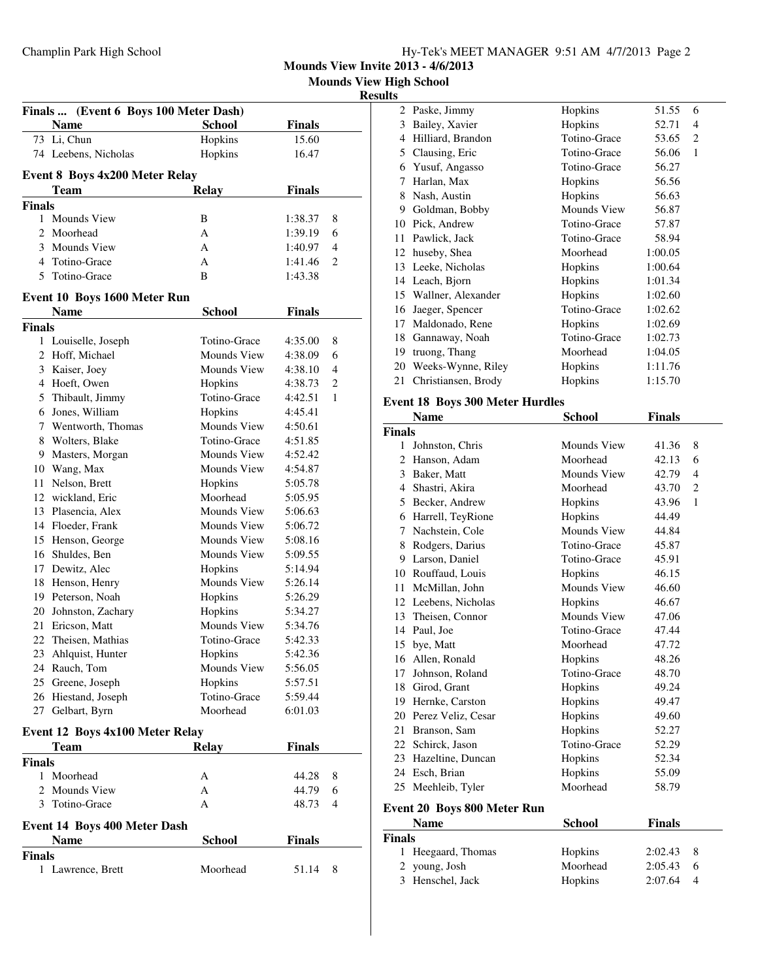**Mounds View Invite 2013 - 4/6/2013**

**Mounds View High School**

#### **Results**

| Finals  (Event 6 Boys 100 Meter Dash)  |                    |                    |                |  |  |
|----------------------------------------|--------------------|--------------------|----------------|--|--|
| <b>Name</b>                            | <b>School</b>      | Finals             |                |  |  |
| 73 Li, Chun                            | Hopkins            | 15.60              |                |  |  |
| 74 Leebens, Nicholas                   | Hopkins            | 16.47              |                |  |  |
|                                        |                    |                    |                |  |  |
| <b>Event 8 Boys 4x200 Meter Relay</b>  |                    |                    |                |  |  |
| Team                                   | <b>Relay</b>       | <b>Finals</b>      |                |  |  |
| <b>Finals</b>                          |                    |                    |                |  |  |
| <b>Mounds View</b><br>1                | B                  | 1:38.37            | 8              |  |  |
| Moorhead<br>2<br>3 Mounds View         | A<br>A             | 1:39.19            | 6<br>4         |  |  |
| 4 Totino-Grace                         | A                  | 1:40.97            | $\overline{c}$ |  |  |
| Totino-Grace<br>5                      | B                  | 1:41.46<br>1:43.38 |                |  |  |
|                                        |                    |                    |                |  |  |
| Event 10 Boys 1600 Meter Run           |                    |                    |                |  |  |
| <b>Name</b>                            | <b>School</b>      | <b>Finals</b>      |                |  |  |
| <b>Finals</b>                          |                    |                    |                |  |  |
| 1 Louiselle, Joseph                    | Totino-Grace       | 4:35.00            | 8              |  |  |
| 2 Hoff, Michael                        | Mounds View        | 4:38.09            | 6              |  |  |
| 3 Kaiser, Joey                         | Mounds View        | 4:38.10            | 4              |  |  |
| 4 Hoeft, Owen                          | Hopkins            | 4:38.73            | 2              |  |  |
| 5 Thibault, Jimmy                      | Totino-Grace       | 4:42.51            | 1              |  |  |
| Jones, William<br>6                    | Hopkins            | 4:45.41            |                |  |  |
| 7 Wentworth, Thomas                    | Mounds View        | 4:50.61            |                |  |  |
| 8 Wolters, Blake                       | Totino-Grace       | 4:51.85            |                |  |  |
| 9 Masters, Morgan                      | Mounds View        | 4:52.42            |                |  |  |
| 10 Wang, Max                           | <b>Mounds View</b> | 4:54.87            |                |  |  |
| Nelson, Brett<br>11                    | Hopkins            | 5:05.78            |                |  |  |
| 12 wickland, Eric                      | Moorhead           | 5:05.95            |                |  |  |
| 13 Plasencia, Alex                     | Mounds View        | 5:06.63            |                |  |  |
| 14 Floeder, Frank                      | Mounds View        | 5:06.72            |                |  |  |
| 15 Henson, George                      | Mounds View        | 5:08.16            |                |  |  |
| 16 Shuldes, Ben                        | Mounds View        | 5:09.55            |                |  |  |
| 17 Dewitz, Alec                        | Hopkins            | 5:14.94            |                |  |  |
| 18 Henson, Henry                       | Mounds View        | 5:26.14            |                |  |  |
| 19 Peterson, Noah                      | Hopkins            | 5:26.29            |                |  |  |
| 20 Johnston, Zachary                   | Hopkins            | 5:34.27            |                |  |  |
| 21 Ericson, Matt                       | <b>Mounds View</b> | 5:34.76            |                |  |  |
| 22 Theisen, Mathias                    | Totino-Grace       | 5:42.33            |                |  |  |
| 23 Ahlquist, Hunter                    | Hopkins            | 5:42.36            |                |  |  |
| 24 Rauch, Tom                          | Mounds View        | 5:56.05            |                |  |  |
| 25 Greene, Joseph                      | Hopkins            | 5:57.51            |                |  |  |
| 26 Hiestand, Joseph                    | Totino-Grace       | 5:59.44            |                |  |  |
| 27 Gelbart, Byrn                       | Moorhead           | 6:01.03            |                |  |  |
| Event 12 Boys 4x100 Meter Relay        |                    |                    |                |  |  |
| Team                                   | <b>Relay</b>       | Finals             |                |  |  |
| <b>Finals</b>                          |                    |                    |                |  |  |
| Moorhead<br>1                          | А                  | 44.28              | 8              |  |  |
| <b>Mounds View</b><br>2                | А                  | 44.79              | 6              |  |  |
| 3 Totino-Grace                         | A                  | 48.73              | 4              |  |  |
| Event 14 Boys 400 Meter Dash           |                    |                    |                |  |  |
| <b>Finals</b><br>Name<br><b>School</b> |                    |                    |                |  |  |
| <b>Finals</b>                          |                    |                    |                |  |  |
| 1 Lawrence, Brett                      | Moorhead           | 51.14              | 8              |  |  |
|                                        |                    |                    |                |  |  |
|                                        |                    |                    |                |  |  |

| 2  | Paske, Jimmy          | Hopkins      | 51.55   | 6 |
|----|-----------------------|--------------|---------|---|
| 3  | Bailey, Xavier        | Hopkins      | 52.71   | 4 |
| 4  | Hilliard, Brandon     | Totino-Grace | 53.65   | 2 |
| 5  | Clausing, Eric        | Totino-Grace | 56.06   | 1 |
| 6  | Yusuf, Angasso        | Totino-Grace | 56.27   |   |
| 7  | Harlan, Max           | Hopkins      | 56.56   |   |
| 8  | Nash, Austin          | Hopkins      | 56.63   |   |
| 9  | Goldman, Bobby        | Mounds View  | 56.87   |   |
| 10 | Pick, Andrew          | Totino-Grace | 57.87   |   |
| 11 | Pawlick, Jack         | Totino-Grace | 58.94   |   |
| 12 | huseby, Shea          | Moorhead     | 1:00.05 |   |
| 13 | Leeke, Nicholas       | Hopkins      | 1:00.64 |   |
| 14 | Leach, Bjorn          | Hopkins      | 1:01.34 |   |
|    | 15 Wallner, Alexander | Hopkins      | 1:02.60 |   |
| 16 | Jaeger, Spencer       | Totino-Grace | 1:02.62 |   |
| 17 | Maldonado, Rene       | Hopkins      | 1:02.69 |   |
| 18 | Gannaway, Noah        | Totino-Grace | 1:02.73 |   |
| 19 | truong, Thang         | Moorhead     | 1:04.05 |   |
| 20 | Weeks-Wynne, Riley    | Hopkins      | 1:11.76 |   |
| 21 | Christiansen, Brody   | Hopkins      | 1:15.70 |   |
|    |                       |              |         |   |

#### **Event 18 Boys 300 Meter Hurdles**

|               | <b>Name</b>                        | <b>School</b>      | Finals        |                |
|---------------|------------------------------------|--------------------|---------------|----------------|
| <b>Finals</b> |                                    |                    |               |                |
| $\mathbf{1}$  | Johnston, Chris                    | <b>Mounds View</b> | 41.36         | 8              |
| 2             | Hanson, Adam                       | Moorhead           | 42.13         | 6              |
|               | 3 Baker, Matt                      | <b>Mounds View</b> | 42.79         | $\overline{4}$ |
|               | 4 Shastri, Akira                   | Moorhead           | 43.70         | 2              |
|               | 5 Becker, Andrew                   | Hopkins            | 43.96         | $\mathbf{1}$   |
|               | 6 Harrell, TeyRione                | Hopkins            | 44.49         |                |
|               | 7 Nachstein, Cole                  | <b>Mounds View</b> | 44.84         |                |
| 8             | Rodgers, Darius                    | Totino-Grace       | 45.87         |                |
|               | 9 Larson, Daniel                   | Totino-Grace       | 45.91         |                |
|               | 10 Rouffaud, Louis                 | Hopkins            | 46.15         |                |
|               | 11 McMillan, John                  | Mounds View        | 46.60         |                |
|               | 12 Leebens, Nicholas               | Hopkins            | 46.67         |                |
|               | 13 Theisen, Connor                 | <b>Mounds View</b> | 47.06         |                |
|               | 14 Paul, Joe                       | Totino-Grace       | 47.44         |                |
|               | 15 bye, Matt                       | Moorhead           | 47.72         |                |
|               | 16 Allen, Ronald                   | Hopkins            | 48.26         |                |
|               | 17 Johnson, Roland                 | Totino-Grace       | 48.70         |                |
|               | 18 Girod, Grant                    | Hopkins            | 49.24         |                |
|               | 19 Hernke, Carston                 | Hopkins            | 49.47         |                |
|               | 20 Perez Veliz, Cesar              | Hopkins            | 49.60         |                |
|               | 21 Branson, Sam                    | Hopkins            | 52.27         |                |
|               | 22 Schirck, Jason                  | Totino-Grace       | 52.29         |                |
|               | 23 Hazeltine, Duncan               | Hopkins            | 52.34         |                |
|               | 24 Esch, Brian                     | Hopkins            | 55.09         |                |
|               | 25 Meehleib, Tyler                 | Moorhead           | 58.79         |                |
|               | <b>Event 20 Boys 800 Meter Run</b> |                    |               |                |
|               | <b>Name</b>                        | <b>School</b>      | <b>Finals</b> |                |
| <b>Finals</b> |                                    |                    |               |                |
| 1             | Heegaard, Thomas                   | Hopkins            | 2:02.43       | 8              |
| 2             | young, Josh                        | Moorhead           | 2:05.43       | 6              |
| 3             | Henschel, Jack                     | Hopkins            | 2:07.64       | $\overline{4}$ |

3 Henschel, Jack Hopkins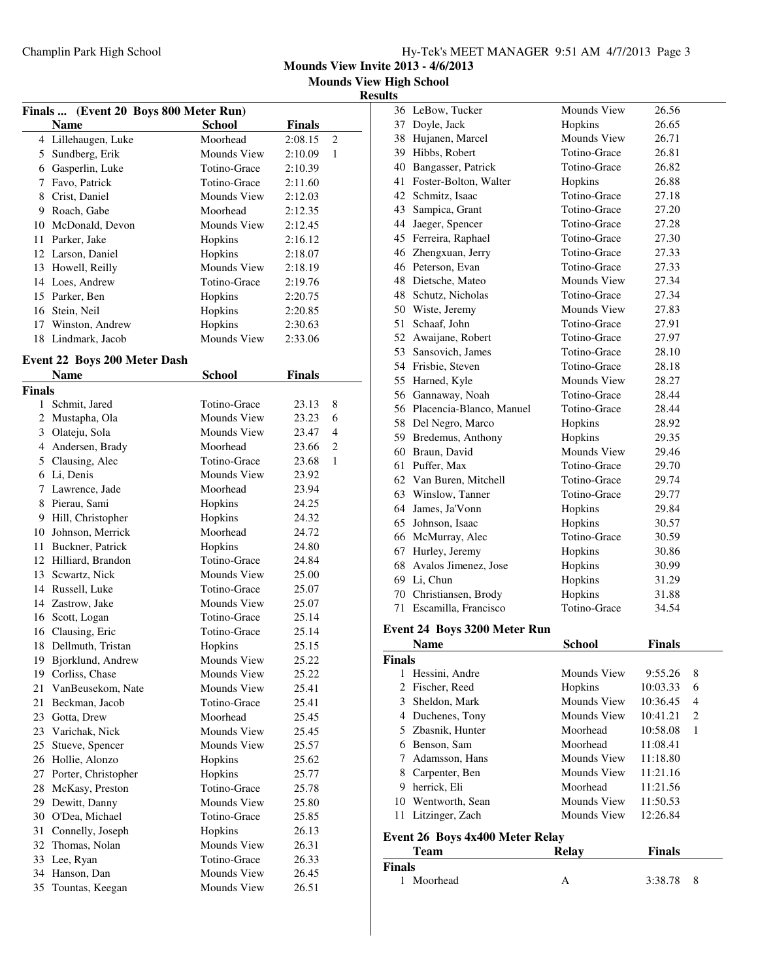**Mounds View Invite 2013 - 4/6/2013**

**Mounds View High School**

#### **Results**

| Finals  (Event 20 Boys 800 Meter Run) |                              |                    |               |                |  |
|---------------------------------------|------------------------------|--------------------|---------------|----------------|--|
|                                       | <b>Name</b>                  | <b>School</b>      | <b>Finals</b> |                |  |
|                                       | 4 Lillehaugen, Luke          | Moorhead           | 2:08.15       | $\overline{c}$ |  |
|                                       | 5 Sundberg, Erik             | <b>Mounds View</b> | 2:10.09       | 1              |  |
|                                       | 6 Gasperlin, Luke            | Totino-Grace       | 2:10.39       |                |  |
|                                       | 7 Favo, Patrick              | Totino-Grace       | 2:11.60       |                |  |
|                                       | 8 Crist, Daniel              | Mounds View        | 2:12.03       |                |  |
|                                       | 9 Roach, Gabe                | Moorhead           | 2:12.35       |                |  |
|                                       | 10 McDonald, Devon           | <b>Mounds View</b> | 2:12.45       |                |  |
|                                       | 11 Parker, Jake              | Hopkins            | 2:16.12       |                |  |
|                                       | 12 Larson, Daniel            | Hopkins            | 2:18.07       |                |  |
|                                       | 13 Howell, Reilly            | Mounds View        | 2:18.19       |                |  |
|                                       | 14 Loes, Andrew              | Totino-Grace       | 2:19.76       |                |  |
|                                       | 15 Parker, Ben               | Hopkins            | 2:20.75       |                |  |
|                                       | 16 Stein, Neil               | Hopkins            | 2:20.85       |                |  |
|                                       | 17 Winston, Andrew           | Hopkins            | 2:30.63       |                |  |
| 18                                    | Lindmark, Jacob              | <b>Mounds View</b> | 2:33.06       |                |  |
|                                       |                              |                    |               |                |  |
|                                       | Event 22 Boys 200 Meter Dash |                    |               |                |  |
|                                       | <b>Name</b>                  | <b>School</b>      | <b>Finals</b> |                |  |
| <b>Finals</b>                         |                              |                    |               |                |  |
| 1                                     | Schmit, Jared                | Totino-Grace       | 23.13         | 8              |  |
| 2                                     | Mustapha, Ola                | Mounds View        | 23.23         | 6              |  |
|                                       | 3 Olateju, Sola              | <b>Mounds View</b> | 23.47         | 4              |  |
|                                       | 4 Andersen, Brady            | Moorhead           | 23.66         | $\overline{c}$ |  |
|                                       | 5 Clausing, Alec             | Totino-Grace       | 23.68         | 1              |  |
|                                       | 6 Li, Denis                  | <b>Mounds View</b> | 23.92         |                |  |
|                                       | 7 Lawrence, Jade             | Moorhead           | 23.94         |                |  |
|                                       | 8 Pierau, Sami               | Hopkins            | 24.25         |                |  |
|                                       | 9 Hill, Christopher          | Hopkins            | 24.32         |                |  |
|                                       | 10 Johnson, Merrick          | Moorhead           | 24.72         |                |  |
| 11                                    | Buckner, Patrick             | Hopkins            | 24.80         |                |  |
|                                       | 12 Hilliard, Brandon         | Totino-Grace       | 24.84         |                |  |
| 13                                    | Scwartz, Nick                | Mounds View        | 25.00         |                |  |
|                                       | 14 Russell, Luke             | Totino-Grace       | 25.07         |                |  |
|                                       | 14 Zastrow, Jake             | Mounds View        | 25.07         |                |  |
|                                       | 16 Scott, Logan              | Totino-Grace       | 25.14         |                |  |
|                                       | 16 Clausing, Eric            | Totino-Grace       | 25.14         |                |  |
| 18                                    | Dellmuth, Tristan            | Hopkins            | 25.15         |                |  |
|                                       | 19 Bjorklund, Andrew         | Mounds View        | 25.22         |                |  |
|                                       | 19 Corliss, Chase            | Mounds View        | 25.22         |                |  |
| 21                                    | VanBeusekom, Nate            | Mounds View        | 25.41         |                |  |
| 21                                    | Beckman, Jacob               | Totino-Grace       | 25.41         |                |  |
| 23                                    | Gotta, Drew                  | Moorhead           | 25.45         |                |  |
|                                       | 23 Varichak, Nick            | Mounds View        | 25.45         |                |  |
| 25                                    | Stueve, Spencer              | <b>Mounds View</b> | 25.57         |                |  |
| 26                                    | Hollie, Alonzo               | Hopkins            | 25.62         |                |  |
| 27                                    | Porter, Christopher          | Hopkins            | 25.77         |                |  |
| 28                                    | McKasy, Preston              | Totino-Grace       | 25.78         |                |  |
| 29                                    | Dewitt, Danny                | Mounds View        | 25.80         |                |  |
| 30                                    | O'Dea, Michael               | Totino-Grace       | 25.85         |                |  |
| 31                                    | Connelly, Joseph             | Hopkins            | 26.13         |                |  |
| 32                                    | Thomas, Nolan                | Mounds View        | 26.31         |                |  |
| 33                                    | Lee, Ryan                    | Totino-Grace       | 26.33         |                |  |
| 34                                    | Hanson, Dan                  | Mounds View        | 26.45         |                |  |
| 35                                    | Tountas, Keegan              | Mounds View        | 26.51         |                |  |

|    | <b>Name</b>                  | <b>School</b>      | Finals |  |  |  |
|----|------------------------------|--------------------|--------|--|--|--|
|    | Event 24 Boys 3200 Meter Run |                    |        |  |  |  |
| 71 | Escamilla, Francisco         | Totino-Grace       | 34.54  |  |  |  |
| 70 | Christiansen, Brody          | Hopkins            | 31.88  |  |  |  |
| 69 | Li, Chun                     | Hopkins            | 31.29  |  |  |  |
| 68 | Avalos Jimenez, Jose         | Hopkins            | 30.99  |  |  |  |
| 67 | Hurley, Jeremy               | Hopkins            | 30.86  |  |  |  |
| 66 | McMurray, Alec               | Totino-Grace       | 30.59  |  |  |  |
| 65 | Johnson, Isaac               | Hopkins            | 30.57  |  |  |  |
| 64 | James, Ja'Vonn               | Hopkins            | 29.84  |  |  |  |
| 63 | Winslow, Tanner              | Totino-Grace       | 29.77  |  |  |  |
| 62 | Van Buren, Mitchell          | Totino-Grace       | 29.74  |  |  |  |
|    | Puffer, Max                  |                    | 29.70  |  |  |  |
| 61 |                              | Totino-Grace       |        |  |  |  |
| 60 | Braun, David                 | <b>Mounds View</b> | 29.46  |  |  |  |
| 59 | Bredemus, Anthony            | Hopkins            | 29.35  |  |  |  |
| 58 | Del Negro, Marco             | Hopkins            | 28.92  |  |  |  |
| 56 | Placencia-Blanco, Manuel     | Totino-Grace       | 28.44  |  |  |  |
| 56 | Gannaway, Noah               | Totino-Grace       | 28.44  |  |  |  |
| 55 | Harned, Kyle                 | Mounds View        | 28.27  |  |  |  |
| 54 | Frisbie, Steven              | Totino-Grace       | 28.18  |  |  |  |
| 53 | Sansovich, James             | Totino-Grace       | 28.10  |  |  |  |
| 52 | Awaijane, Robert             | Totino-Grace       | 27.97  |  |  |  |
| 51 | Schaaf, John                 | Totino-Grace       | 27.91  |  |  |  |
| 50 | Wiste, Jeremy                | Mounds View        | 27.83  |  |  |  |
| 48 | Schutz, Nicholas             | Totino-Grace       | 27.34  |  |  |  |
| 48 | Dietsche, Mateo              | Mounds View        | 27.34  |  |  |  |
| 46 | Peterson, Evan               | Totino-Grace       | 27.33  |  |  |  |
| 46 | Zhengxuan, Jerry             | Totino-Grace       | 27.33  |  |  |  |
| 45 | Ferreira, Raphael            | Totino-Grace       | 27.30  |  |  |  |
| 44 | Jaeger, Spencer              | Totino-Grace       | 27.28  |  |  |  |
| 43 | Sampica, Grant               | Totino-Grace       | 27.20  |  |  |  |
| 42 | Schmitz, Isaac               | Totino-Grace       | 27.18  |  |  |  |
| 41 | Foster-Bolton, Walter        | Hopkins            | 26.88  |  |  |  |
| 40 | Bangasser, Patrick           | Totino-Grace       | 26.82  |  |  |  |
| 39 | Hibbs, Robert                | Totino-Grace       | 26.81  |  |  |  |
| 38 | Hujanen, Marcel              | <b>Mounds View</b> | 26.71  |  |  |  |
| 37 | Doyle, Jack                  | Hopkins            | 26.65  |  |  |  |
| 36 | LeBow, Tucker                | <b>Mounds View</b> | 26.56  |  |  |  |

| Mounds View                     | 9:55.26       | 8 |
|---------------------------------|---------------|---|
| Hopkins                         | 10:03.33      | 6 |
| Mounds View                     | 10:36.45      | 4 |
| Mounds View                     | 10:41.21      | 2 |
| Moorhead                        | 10:58.08      | 1 |
| Moorhead                        | 11:08.41      |   |
| Mounds View                     | 11:18.80      |   |
| Mounds View                     | 11:21.16      |   |
| Moorhead                        | 11:21.56      |   |
| Mounds View                     | 11:50.53      |   |
| Mounds View                     | 12:26.84      |   |
| Event 26 Boys 4x400 Meter Relay |               |   |
| Relav                           | <b>Finals</b> |   |
|                                 |               |   |

| Team       | Relav | Finals  |
|------------|-------|---------|
| Finals     |       |         |
| 1 Moorhead |       | 3:38.78 |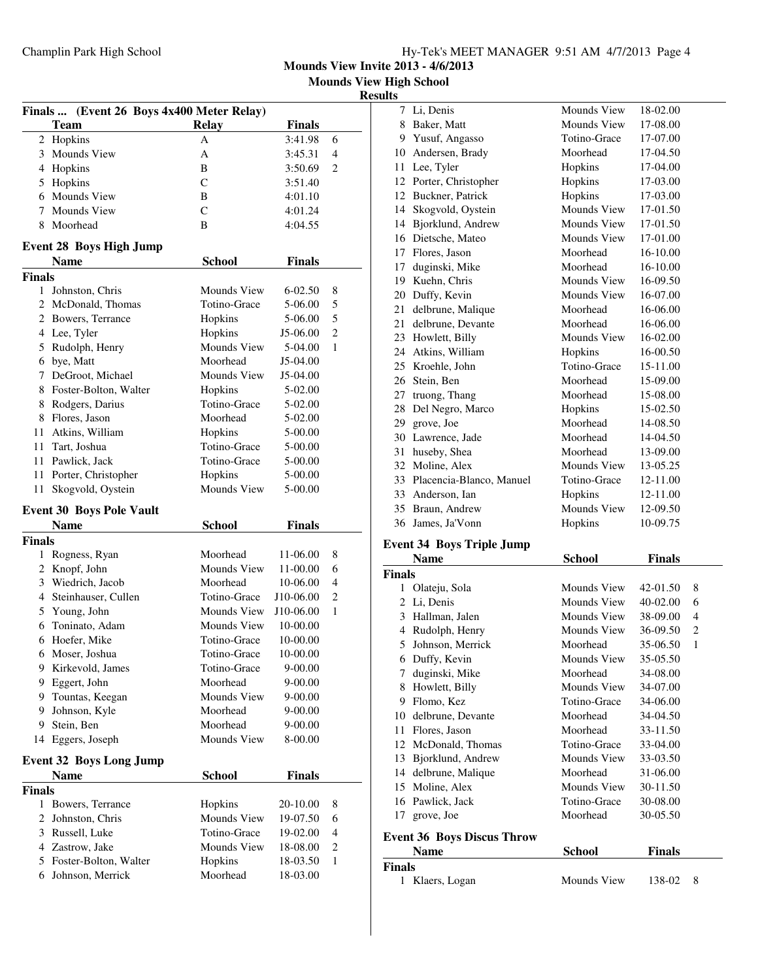|  | Hy-Tek's MEET MANAGER 9:51 AM 4/7/2013 Page 4 |  |  |
|--|-----------------------------------------------|--|--|
|  |                                               |  |  |

**Mounds View Invite 2013 - 4/6/2013 Mounds View High School**

**Results**

| Finals  (Event 26 Boys 4x400 Meter Relay) |                                               |                     |                      |                         |  |
|-------------------------------------------|-----------------------------------------------|---------------------|----------------------|-------------------------|--|
|                                           | <b>Team</b>                                   | <b>Relay</b>        | <b>Finals</b>        |                         |  |
|                                           | 2 Hopkins                                     | А                   | 3:41.98              | 6                       |  |
|                                           | 3 Mounds View                                 | A                   | 3:45.31              | 4                       |  |
|                                           | 4 Hopkins                                     | B                   | 3:50.69              | $\overline{c}$          |  |
| 5                                         | Hopkins                                       | C                   | 3:51.40              |                         |  |
|                                           | 6 Mounds View                                 | B                   | 4:01.10              |                         |  |
| 7                                         | Mounds View                                   | C                   | 4:01.24              |                         |  |
| 8                                         | Moorhead                                      | B                   | 4:04.55              |                         |  |
|                                           |                                               |                     |                      |                         |  |
|                                           | <b>Event 28 Boys High Jump</b><br><b>Name</b> | <b>School</b>       | <b>Finals</b>        |                         |  |
| <b>Finals</b>                             |                                               |                     |                      |                         |  |
| 1                                         | Johnston, Chris                               | Mounds View         | 6-02.50              | 8                       |  |
|                                           | 2 McDonald, Thomas                            | Totino-Grace        | 5-06.00              | 5                       |  |
|                                           | 2 Bowers, Terrance                            |                     |                      | 5                       |  |
|                                           |                                               | Hopkins             | 5-06.00              | 2                       |  |
|                                           | 4 Lee, Tyler                                  | Hopkins             | J5-06.00             |                         |  |
|                                           | 5 Rudolph, Henry                              | Mounds View         | 5-04.00              | 1                       |  |
|                                           | 6 bye, Matt                                   | Moorhead            | J5-04.00             |                         |  |
|                                           | 7 DeGroot, Michael                            | Mounds View         | J5-04.00             |                         |  |
| 8                                         | Foster-Bolton, Walter                         | Hopkins             | 5-02.00              |                         |  |
| 8                                         | Rodgers, Darius                               | Totino-Grace        | 5-02.00              |                         |  |
| 8                                         | Flores, Jason                                 | Moorhead            | 5-02.00              |                         |  |
|                                           | 11 Atkins, William                            | Hopkins             | 5-00.00              |                         |  |
|                                           | 11 Tart, Joshua                               | Totino-Grace        | 5-00.00              |                         |  |
|                                           | 11 Pawlick, Jack                              | Totino-Grace        | 5-00.00              |                         |  |
| 11                                        | Porter, Christopher                           | Hopkins             | 5-00.00              |                         |  |
| 11                                        | Skogvold, Oystein                             | <b>Mounds View</b>  | 5-00.00              |                         |  |
|                                           | <b>Event 30 Boys Pole Vault</b>               |                     |                      |                         |  |
|                                           | <b>Name</b>                                   | <b>School</b>       | <b>Finals</b>        |                         |  |
| <b>Finals</b>                             |                                               |                     |                      |                         |  |
| 1                                         | Rogness, Ryan                                 | Moorhead            | 11-06.00             | 8                       |  |
| 2                                         | Knopf, John                                   |                     |                      |                         |  |
|                                           |                                               | Mounds View         | 11-00.00             | 6                       |  |
|                                           | 3 Wiedrich, Jacob                             | Moorhead            | 10-06.00             | 4                       |  |
|                                           | 4 Steinhauser, Cullen                         | Totino-Grace        | J10-06.00            | 2                       |  |
|                                           | 5 Young, John                                 | Mounds View         | J10-06.00            | 1                       |  |
| 6                                         | Toninato, Adam                                | Mounds View         | 10-00.00             |                         |  |
| 6                                         | Hoefer, Mike                                  | Totino-Grace        | 10-00.00             |                         |  |
| 6                                         | Moser, Joshua                                 | Totino-Grace        | 10-00.00             |                         |  |
| 9                                         | Kirkevold, James                              | Totino-Grace        | $9 - 00.00$          |                         |  |
| 9                                         | Eggert, John                                  | Moorhead            | 9-00.00              |                         |  |
| 9                                         | Tountas, Keegan                               | <b>Mounds View</b>  | 9-00.00              |                         |  |
| 9                                         | Johnson, Kyle                                 | Moorhead            | 9-00.00              |                         |  |
| 9                                         | Stein, Ben                                    | Moorhead            | 9-00.00              |                         |  |
| 14                                        | Eggers, Joseph                                | Mounds View         | 8-00.00              |                         |  |
|                                           |                                               |                     |                      |                         |  |
|                                           | <b>Event 32 Boys Long Jump</b>                |                     |                      |                         |  |
|                                           | Name                                          | <b>School</b>       | <b>Finals</b>        |                         |  |
|                                           |                                               |                     |                      |                         |  |
| 1                                         | Bowers, Terrance                              | Hopkins             | 20-10.00             | 8                       |  |
| 2                                         | Johnston, Chris                               | Mounds View         | 19-07.50             | 6                       |  |
|                                           | 3 Russell, Luke                               | Totino-Grace        | 19-02.00             | 4                       |  |
|                                           | 4 Zastrow, Jake                               | Mounds View         | 18-08.00             | $\overline{\mathbf{c}}$ |  |
| <b>Finals</b>                             | 5 Foster-Bolton, Walter<br>6 Johnson, Merrick | Hopkins<br>Moorhead | 18-03.50<br>18-03.00 | 1                       |  |

| LS. |                          |                    |          |
|-----|--------------------------|--------------------|----------|
| 7   | Li, Denis                | Mounds View        | 18-02.00 |
| 8   | Baker, Matt              | Mounds View        | 17-08.00 |
| 9   | Yusuf, Angasso           | Totino-Grace       | 17-07.00 |
| 10  | Andersen, Brady          | Moorhead           | 17-04.50 |
| 11  | Lee, Tyler               | Hopkins            | 17-04.00 |
| 12  | Porter, Christopher      | Hopkins            | 17-03.00 |
| 12  | Buckner, Patrick         | Hopkins            | 17-03.00 |
| 14  | Skogvold, Oystein        | <b>Mounds View</b> | 17-01.50 |
| 14  | Bjorklund, Andrew        | Mounds View        | 17-01.50 |
| 16  | Dietsche, Mateo          | Mounds View        | 17-01.00 |
| 17  | Flores, Jason            | Moorhead           | 16-10.00 |
| 17  | duginski, Mike           | Moorhead           | 16-10.00 |
| 19  | Kuehn, Chris             | Mounds View        | 16-09.50 |
| 20  | Duffy, Kevin             | Mounds View        | 16-07.00 |
| 21  | delbrune, Malique        | Moorhead           | 16-06.00 |
| 21  | delbrune, Devante        | Moorhead           | 16-06.00 |
| 23  | Howlett, Billy           | <b>Mounds View</b> | 16-02.00 |
| 24  | Atkins, William          | Hopkins            | 16-00.50 |
| 25  | Kroehle, John            | Totino-Grace       | 15-11.00 |
| 26  | Stein, Ben               | Moorhead           | 15-09.00 |
| 27  | truong, Thang            | Moorhead           | 15-08.00 |
| 28  | Del Negro, Marco         | Hopkins            | 15-02.50 |
| 29  | grove, Joe               | Moorhead           | 14-08.50 |
| 30  | Lawrence, Jade           | Moorhead           | 14-04.50 |
| 31  | huseby, Shea             | Moorhead           | 13-09.00 |
| 32  | Moline, Alex             | <b>Mounds View</b> | 13-05.25 |
| 33  | Placencia-Blanco, Manuel | Totino-Grace       | 12-11.00 |
| 33  | Anderson, Ian            | Hopkins            | 12-11.00 |
| 35  | Braun, Andrew            | <b>Mounds View</b> | 12-09.50 |
| 36  | James, Ja'Vonn           | Hopkins            | 10-09.75 |
|     |                          |                    |          |

### **Event 34 Boys Triple Jump**

|                             | <b>Name</b>                       | School       | <b>Finals</b> |                |
|-----------------------------|-----------------------------------|--------------|---------------|----------------|
| <b>Finals</b>               |                                   |              |               |                |
| 1                           | Olateju, Sola                     | Mounds View  | 42-01.50      | 8              |
| $\mathcal{D}_{\mathcal{L}}$ | Li, Denis                         | Mounds View  | 40-02.00      | 6              |
| 3                           | Hallman, Jalen                    | Mounds View  | 38-09.00      | 4              |
| 4                           | Rudolph, Henry                    | Mounds View  | 36-09.50      | $\overline{c}$ |
| 5                           | Johnson, Merrick                  | Moorhead     | 35-06.50      | 1              |
| 6                           | Duffy, Kevin                      | Mounds View  | 35-05.50      |                |
| 7                           | duginski, Mike                    | Moorhead     | 34-08.00      |                |
| 8                           | Howlett, Billy                    | Mounds View  | 34-07.00      |                |
| 9                           | Flomo, Kez                        | Totino-Grace | 34-06.00      |                |
| 10                          | delbrune, Devante                 | Moorhead     | 34-04.50      |                |
| 11                          | Flores, Jason                     | Moorhead     | 33-11.50      |                |
| 12                          | McDonald, Thomas                  | Totino-Grace | 33-04.00      |                |
| 13                          | Bjorklund, Andrew                 | Mounds View  | 33-03.50      |                |
| 14                          | delbrune, Malique                 | Moorhead     | 31-06.00      |                |
| 15                          | Moline, Alex                      | Mounds View  | 30-11.50      |                |
| 16                          | Pawlick, Jack                     | Totino-Grace | 30-08.00      |                |
| 17                          | grove, Joe                        | Moorhead     | 30-05.50      |                |
|                             | <b>Event 36 Boys Discus Throw</b> |              |               |                |
|                             | <b>Name</b>                       | School       | <b>Finals</b> |                |

## **Finals**

| 1 Klaers, Logan | Mounds View | 138-02 8 |  |
|-----------------|-------------|----------|--|
|                 |             |          |  |